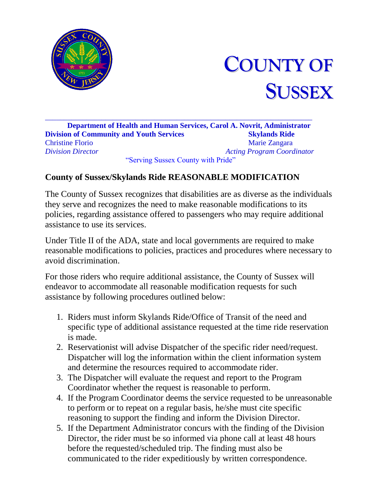



\_\_\_\_\_\_\_\_\_\_\_\_\_\_\_\_\_\_\_\_\_\_\_\_\_\_\_\_\_\_\_\_\_\_\_\_\_\_\_\_\_\_\_\_\_\_\_\_\_\_\_\_\_\_\_\_\_\_\_\_\_\_\_\_\_\_\_\_\_\_\_ **Department of Health and Human Services, Carol A. Novrit, Administrator Division of Community and Youth Services Skylands Ride** Christine Florio Marie Zangara *Division Director Acting Program Coordinator* "Serving Sussex County with Pride"

## **County of Sussex/Skylands Ride REASONABLE MODIFICATION**

The County of Sussex recognizes that disabilities are as diverse as the individuals they serve and recognizes the need to make reasonable modifications to its policies, regarding assistance offered to passengers who may require additional assistance to use its services.

Under Title II of the ADA, state and local governments are required to make reasonable modifications to policies, practices and procedures where necessary to avoid discrimination.

For those riders who require additional assistance, the County of Sussex will endeavor to accommodate all reasonable modification requests for such assistance by following procedures outlined below:

- 1. Riders must inform Skylands Ride/Office of Transit of the need and specific type of additional assistance requested at the time ride reservation is made.
- 2. Reservationist will advise Dispatcher of the specific rider need/request. Dispatcher will log the information within the client information system and determine the resources required to accommodate rider.
- 3. The Dispatcher will evaluate the request and report to the Program Coordinator whether the request is reasonable to perform.
- 4. If the Program Coordinator deems the service requested to be unreasonable to perform or to repeat on a regular basis, he/she must cite specific reasoning to support the finding and inform the Division Director.
- 5. If the Department Administrator concurs with the finding of the Division Director, the rider must be so informed via phone call at least 48 hours before the requested/scheduled trip. The finding must also be communicated to the rider expeditiously by written correspondence.